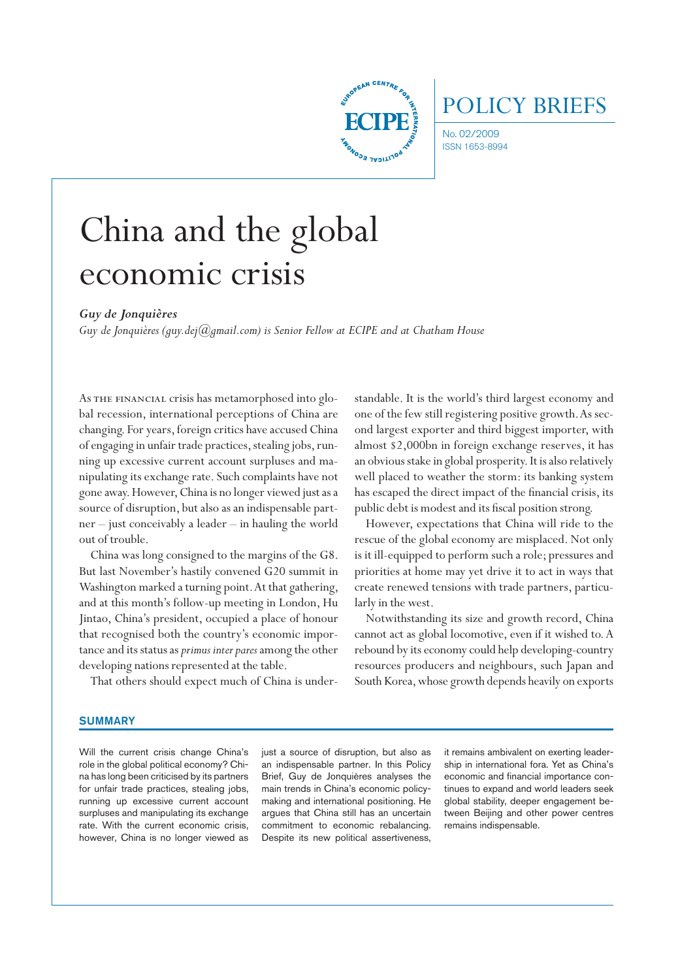

# POLICY BRIEFS

No. 02/2009 ISSN 1653-8994

# China and the global economic crisis

### *Guy de Jonquières*

*Guy de Jonquières (guy.dej@gmail.com) is Senior Fellow at ECIPE and at Chatham House*

As the financial crisis has metamorphosed into global recession, international perceptions of China are changing. For years, foreign critics have accused China of engaging in unfair trade practices, stealing jobs, running up excessive current account surpluses and manipulating its exchange rate. Such complaints have not gone away. However, China is no longer viewed just as a source of disruption, but also as an indispensable partner – just conceivably a leader – in hauling the world out of trouble.

China was long consigned to the margins of the G8. But last November's hastily convened G20 summit in Washington marked a turning point. At that gathering, and at this month's follow-up meeting in London, Hu Jintao, China's president, occupied a place of honour that recognised both the country's economic importance and its status as *primus inter pares* among the other developing nations represented at the table.

That others should expect much of China is under-

standable. It is the world's third largest economy and one of the few still registering positive growth. As second largest exporter and third biggest importer, with almost \$2,000bn in foreign exchange reserves, it has an obvious stake in global prosperity. It is also relatively well placed to weather the storm: its banking system has escaped the direct impact of the financial crisis, its public debt is modest and its fiscal position strong.

However, expectations that China will ride to the rescue of the global economy are misplaced. Not only is it ill-equipped to perform such a role; pressures and priorities at home may yet drive it to act in ways that create renewed tensions with trade partners, particularly in the west.

Notwithstanding its size and growth record, China cannot act as global locomotive, even if it wished to. A rebound by its economy could help developing-country resources producers and neighbours, such Japan and South Korea, whose growth depends heavily on exports

#### **SUMMARY**

Will the current crisis change China's role in the global political economy? China has long been criticised by its partners for unfair trade practices, stealing jobs, running up excessive current account surpluses and manipulating its exchange rate. With the current economic crisis, however, China is no longer viewed as just a source of disruption, but also as an indispensable partner. In this Policy Brief, Guy de Jonquières analyses the main trends in China's economic policymaking and international positioning. He argues that China still has an uncertain commitment to economic rebalancing. Despite its new political assertiveness,

it remains ambivalent on exerting leadership in international fora. Yet as China's economic and financial importance continues to expand and world leaders seek global stability, deeper engagement between Beijing and other power centres remains indispensable.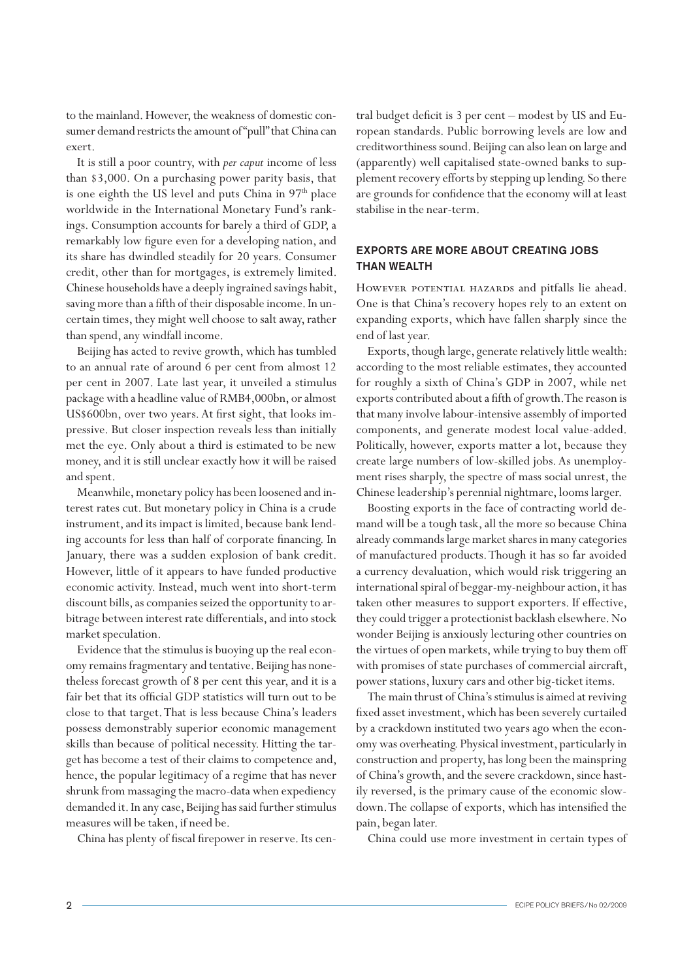to the mainland. However, the weakness of domestic consumer demand restricts the amount of "pull" that China can exert.

It is still a poor country, with *per caput* income of less than \$3,000. On a purchasing power parity basis, that is one eighth the US level and puts China in 97<sup>th</sup> place worldwide in the International Monetary Fund's rankings. Consumption accounts for barely a third of GDP, a remarkably low figure even for a developing nation, and its share has dwindled steadily for 20 years. Consumer credit, other than for mortgages, is extremely limited. Chinese households have a deeply ingrained savings habit, saving more than a fifth of their disposable income. In uncertain times, they might well choose to salt away, rather than spend, any windfall income.

Beijing has acted to revive growth, which has tumbled to an annual rate of around 6 per cent from almost 12 per cent in 2007. Late last year, it unveiled a stimulus package with a headline value of RMB4,000bn, or almost US\$600bn, over two years. At first sight, that looks impressive. But closer inspection reveals less than initially met the eye. Only about a third is estimated to be new money, and it is still unclear exactly how it will be raised and spent.

Meanwhile, monetary policy has been loosened and interest rates cut. But monetary policy in China is a crude instrument, and its impact is limited, because bank lending accounts for less than half of corporate financing. In January, there was a sudden explosion of bank credit. However, little of it appears to have funded productive economic activity. Instead, much went into short-term discount bills, as companies seized the opportunity to arbitrage between interest rate differentials, and into stock market speculation.

Evidence that the stimulus is buoying up the real economy remains fragmentary and tentative. Beijing has nonetheless forecast growth of 8 per cent this year, and it is a fair bet that its official GDP statistics will turn out to be close to that target. That is less because China's leaders possess demonstrably superior economic management skills than because of political necessity. Hitting the target has become a test of their claims to competence and, hence, the popular legitimacy of a regime that has never shrunk from massaging the macro-data when expediency demanded it. In any case, Beijing has said further stimulus measures will be taken, if need be.

China has plenty of fiscal firepower in reserve. Its cen-

tral budget deficit is 3 per cent – modest by US and European standards. Public borrowing levels are low and creditworthiness sound. Beijing can also lean on large and (apparently) well capitalised state-owned banks to supplement recovery efforts by stepping up lending. So there are grounds for confidence that the economy will at least stabilise in the near-term.

## EXPORTS ARE MORE ABOUT CREATING JOBS THAN WEALTH

HOWEVER POTENTIAL HAZARDS and pitfalls lie ahead. One is that China's recovery hopes rely to an extent on expanding exports, which have fallen sharply since the end of last year.

Exports, though large, generate relatively little wealth: according to the most reliable estimates, they accounted for roughly a sixth of China's GDP in 2007, while net exports contributed about a fifth of growth. The reason is that many involve labour-intensive assembly of imported components, and generate modest local value-added. Politically, however, exports matter a lot, because they create large numbers of low-skilled jobs. As unemployment rises sharply, the spectre of mass social unrest, the Chinese leadership's perennial nightmare, looms larger.

Boosting exports in the face of contracting world demand will be a tough task, all the more so because China already commands large market shares in many categories of manufactured products. Though it has so far avoided a currency devaluation, which would risk triggering an international spiral of beggar-my-neighbour action, it has taken other measures to support exporters. If effective, they could trigger a protectionist backlash elsewhere. No wonder Beijing is anxiously lecturing other countries on the virtues of open markets, while trying to buy them off with promises of state purchases of commercial aircraft, power stations, luxury cars and other big-ticket items.

The main thrust of China's stimulus is aimed at reviving fixed asset investment, which has been severely curtailed by a crackdown instituted two years ago when the economy was overheating. Physical investment, particularly in construction and property, has long been the mainspring of China's growth, and the severe crackdown, since hastily reversed, is the primary cause of the economic slowdown. The collapse of exports, which has intensified the pain, began later.

China could use more investment in certain types of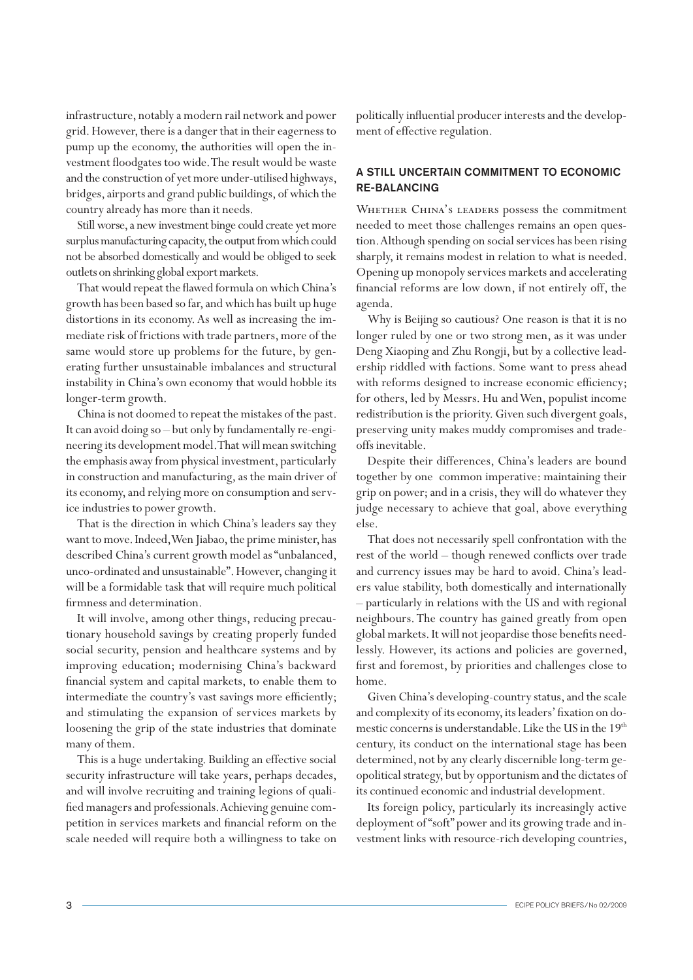infrastructure, notably a modern rail network and power grid. However, there is a danger that in their eagerness to pump up the economy, the authorities will open the investment floodgates too wide. The result would be waste and the construction of yet more under-utilised highways, bridges, airports and grand public buildings, of which the country already has more than it needs.

Still worse, a new investment binge could create yet more surplus manufacturing capacity, the output from which could not be absorbed domestically and would be obliged to seek outlets on shrinking global export markets.

That would repeat the flawed formula on which China's growth has been based so far, and which has built up huge distortions in its economy. As well as increasing the immediate risk of frictions with trade partners, more of the same would store up problems for the future, by generating further unsustainable imbalances and structural instability in China's own economy that would hobble its longer-term growth.

China is not doomed to repeat the mistakes of the past. It can avoid doing so – but only by fundamentally re-engineering its development model. That will mean switching the emphasis away from physical investment, particularly in construction and manufacturing, as the main driver of its economy, and relying more on consumption and service industries to power growth.

That is the direction in which China's leaders say they want to move. Indeed, Wen Jiabao, the prime minister, has described China's current growth model as "unbalanced, unco-ordinated and unsustainable". However, changing it will be a formidable task that will require much political firmness and determination.

It will involve, among other things, reducing precautionary household savings by creating properly funded social security, pension and healthcare systems and by improving education; modernising China's backward financial system and capital markets, to enable them to intermediate the country's vast savings more efficiently; and stimulating the expansion of services markets by loosening the grip of the state industries that dominate many of them.

This is a huge undertaking. Building an effective social security infrastructure will take years, perhaps decades, and will involve recruiting and training legions of qualified managers and professionals. Achieving genuine competition in services markets and financial reform on the scale needed will require both a willingness to take on politically influential producer interests and the development of effective regulation.

# A STILL UNCERTAIN COMMITMENT TO ECONOMIC RE-BALANCING

Whether China's leaders possess the commitment needed to meet those challenges remains an open question. Although spending on social services has been rising sharply, it remains modest in relation to what is needed. Opening up monopoly services markets and accelerating financial reforms are low down, if not entirely off, the agenda.

Why is Beijing so cautious? One reason is that it is no longer ruled by one or two strong men, as it was under Deng Xiaoping and Zhu Rongji, but by a collective leadership riddled with factions. Some want to press ahead with reforms designed to increase economic efficiency; for others, led by Messrs. Hu and Wen, populist income redistribution is the priority. Given such divergent goals, preserving unity makes muddy compromises and tradeoffs inevitable.

Despite their differences, China's leaders are bound together by one common imperative: maintaining their grip on power; and in a crisis, they will do whatever they judge necessary to achieve that goal, above everything else.

That does not necessarily spell confrontation with the rest of the world – though renewed conflicts over trade and currency issues may be hard to avoid. China's leaders value stability, both domestically and internationally – particularly in relations with the US and with regional neighbours. The country has gained greatly from open global markets. It will not jeopardise those benefits needlessly. However, its actions and policies are governed, first and foremost, by priorities and challenges close to home.

Given China's developing-country status, and the scale and complexity of its economy, its leaders' fixation on domestic concerns is understandable. Like the US in the  $19^{\rm th}$ century, its conduct on the international stage has been determined, not by any clearly discernible long-term geopolitical strategy, but by opportunism and the dictates of its continued economic and industrial development.

Its foreign policy, particularly its increasingly active deployment of "soft" power and its growing trade and investment links with resource-rich developing countries,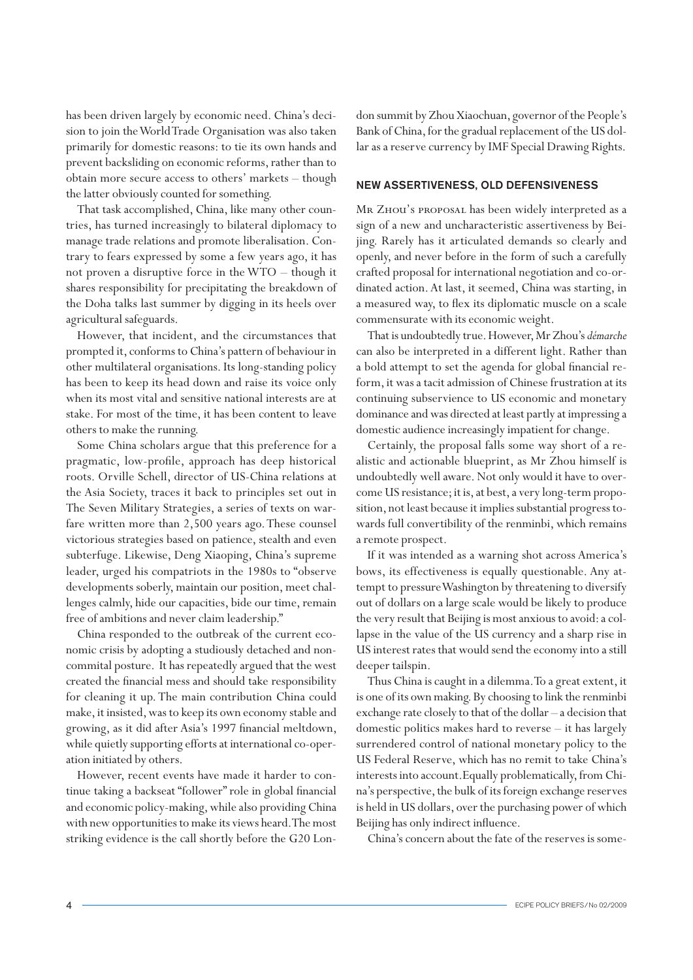has been driven largely by economic need. China's decision to join the World Trade Organisation was also taken primarily for domestic reasons: to tie its own hands and prevent backsliding on economic reforms, rather than to obtain more secure access to others' markets – though the latter obviously counted for something.

That task accomplished, China, like many other countries, has turned increasingly to bilateral diplomacy to manage trade relations and promote liberalisation. Contrary to fears expressed by some a few years ago, it has not proven a disruptive force in the WTO – though it shares responsibility for precipitating the breakdown of the Doha talks last summer by digging in its heels over agricultural safeguards.

However, that incident, and the circumstances that prompted it, conforms to China's pattern of behaviour in other multilateral organisations. Its long-standing policy has been to keep its head down and raise its voice only when its most vital and sensitive national interests are at stake. For most of the time, it has been content to leave others to make the running.

Some China scholars argue that this preference for a pragmatic, low-profile, approach has deep historical roots. Orville Schell, director of US-China relations at the Asia Society, traces it back to principles set out in The Seven Military Strategies, a series of texts on warfare written more than 2,500 years ago. These counsel victorious strategies based on patience, stealth and even subterfuge. Likewise, Deng Xiaoping, China's supreme leader, urged his compatriots in the 1980s to "observe developments soberly, maintain our position, meet challenges calmly, hide our capacities, bide our time, remain free of ambitions and never claim leadership."

China responded to the outbreak of the current economic crisis by adopting a studiously detached and noncommital posture. It has repeatedly argued that the west created the financial mess and should take responsibility for cleaning it up. The main contribution China could make, it insisted, was to keep its own economy stable and growing, as it did after Asia's 1997 financial meltdown, while quietly supporting efforts at international co-operation initiated by others.

However, recent events have made it harder to continue taking a backseat "follower" role in global financial and economic policy-making, while also providing China with new opportunities to make its views heard. The most striking evidence is the call shortly before the G20 Lon-

don summit by Zhou Xiaochuan, governor of the People's Bank of China, for the gradual replacement of the US dollar as a reserve currency by IMF Special Drawing Rights.

#### NEW ASSERTIVENESS, OLD DEFENSIVENESS

Mr Zhou's proposal has been widely interpreted as a sign of a new and uncharacteristic assertiveness by Beijing. Rarely has it articulated demands so clearly and openly, and never before in the form of such a carefully crafted proposal for international negotiation and co-ordinated action. At last, it seemed, China was starting, in a measured way, to flex its diplomatic muscle on a scale commensurate with its economic weight.

That is undoubtedly true. However, Mr Zhou's *démarche* can also be interpreted in a different light. Rather than a bold attempt to set the agenda for global financial reform, it was a tacit admission of Chinese frustration at its continuing subservience to US economic and monetary dominance and was directed at least partly at impressing a domestic audience increasingly impatient for change.

Certainly, the proposal falls some way short of a realistic and actionable blueprint, as Mr Zhou himself is undoubtedly well aware. Not only would it have to overcome US resistance; it is, at best, a very long-term proposition, not least because it implies substantial progress towards full convertibility of the renminbi, which remains a remote prospect.

If it was intended as a warning shot across America's bows, its effectiveness is equally questionable. Any attempt to pressure Washington by threatening to diversify out of dollars on a large scale would be likely to produce the very result that Beijing is most anxious to avoid: a collapse in the value of the US currency and a sharp rise in US interest rates that would send the economy into a still deeper tailspin.

Thus China is caught in a dilemma. To a great extent, it is one of its own making. By choosing to link the renminbi exchange rate closely to that of the dollar – a decision that domestic politics makes hard to reverse – it has largely surrendered control of national monetary policy to the US Federal Reserve, which has no remit to take China's interests into account.Equally problematically, from China's perspective, the bulk of its foreign exchange reserves is held in US dollars, over the purchasing power of which Beijing has only indirect influence.

China's concern about the fate of the reserves is some-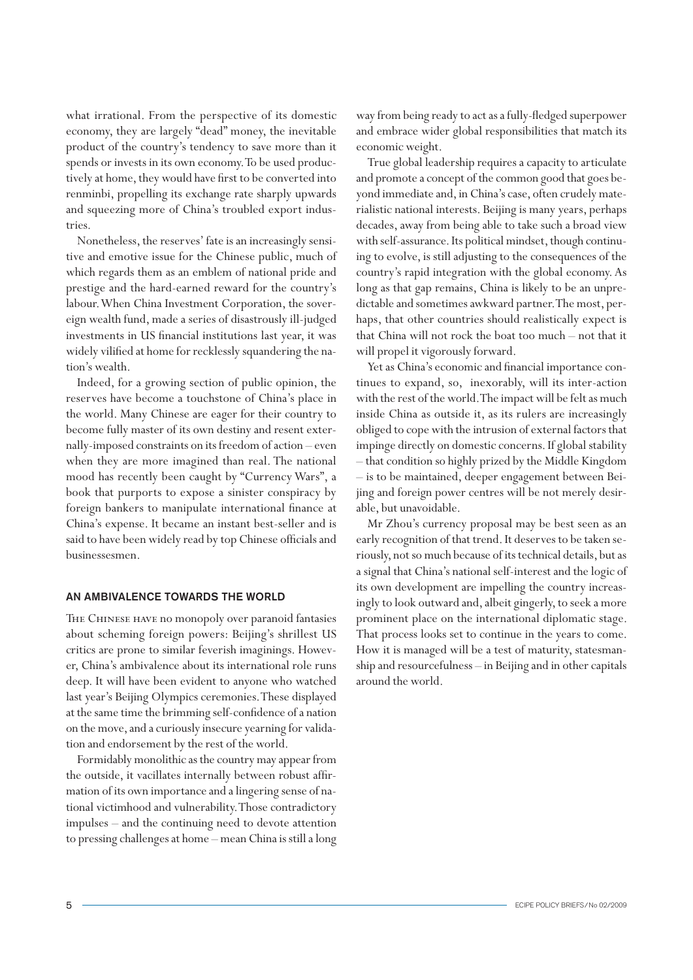what irrational. From the perspective of its domestic economy, they are largely "dead" money, the inevitable product of the country's tendency to save more than it spends or invests in its own economy. To be used productively at home, they would have first to be converted into renminbi, propelling its exchange rate sharply upwards and squeezing more of China's troubled export industries.

Nonetheless, the reserves' fate is an increasingly sensitive and emotive issue for the Chinese public, much of which regards them as an emblem of national pride and prestige and the hard-earned reward for the country's labour. When China Investment Corporation, the sovereign wealth fund, made a series of disastrously ill-judged investments in US financial institutions last year, it was widely vilified at home for recklessly squandering the nation's wealth.

Indeed, for a growing section of public opinion, the reserves have become a touchstone of China's place in the world. Many Chinese are eager for their country to become fully master of its own destiny and resent externally-imposed constraints on its freedom of action – even when they are more imagined than real. The national mood has recently been caught by "Currency Wars", a book that purports to expose a sinister conspiracy by foreign bankers to manipulate international finance at China's expense. It became an instant best-seller and is said to have been widely read by top Chinese officials and businessesmen.

#### AN AMBIVALENCE TOWARDS THE WORLD

The Chinese have no monopoly over paranoid fantasies about scheming foreign powers: Beijing's shrillest US critics are prone to similar feverish imaginings. However, China's ambivalence about its international role runs deep. It will have been evident to anyone who watched last year's Beijing Olympics ceremonies. These displayed at the same time the brimming self-confidence of a nation on the move, and a curiously insecure yearning for validation and endorsement by the rest of the world.

Formidably monolithic as the country may appear from the outside, it vacillates internally between robust affirmation of its own importance and a lingering sense of national victimhood and vulnerability. Those contradictory impulses – and the continuing need to devote attention to pressing challenges at home – mean China is still a long

way from being ready to act as a fully-fledged superpower and embrace wider global responsibilities that match its economic weight.

True global leadership requires a capacity to articulate and promote a concept of the common good that goes beyond immediate and, in China's case, often crudely materialistic national interests. Beijing is many years, perhaps decades, away from being able to take such a broad view with self-assurance. Its political mindset, though continuing to evolve, is still adjusting to the consequences of the country's rapid integration with the global economy. As long as that gap remains, China is likely to be an unpredictable and sometimes awkward partner. The most, perhaps, that other countries should realistically expect is that China will not rock the boat too much – not that it will propel it vigorously forward.

Yet as China's economic and financial importance continues to expand, so, inexorably, will its inter-action with the rest of the world. The impact will be felt as much inside China as outside it, as its rulers are increasingly obliged to cope with the intrusion of external factors that impinge directly on domestic concerns. If global stability – that condition so highly prized by the Middle Kingdom – is to be maintained, deeper engagement between Beijing and foreign power centres will be not merely desirable, but unavoidable.

Mr Zhou's currency proposal may be best seen as an early recognition of that trend. It deserves to be taken seriously, not so much because of its technical details, but as a signal that China's national self-interest and the logic of its own development are impelling the country increasingly to look outward and, albeit gingerly, to seek a more prominent place on the international diplomatic stage. That process looks set to continue in the years to come. How it is managed will be a test of maturity, statesmanship and resourcefulness – in Beijing and in other capitals around the world.